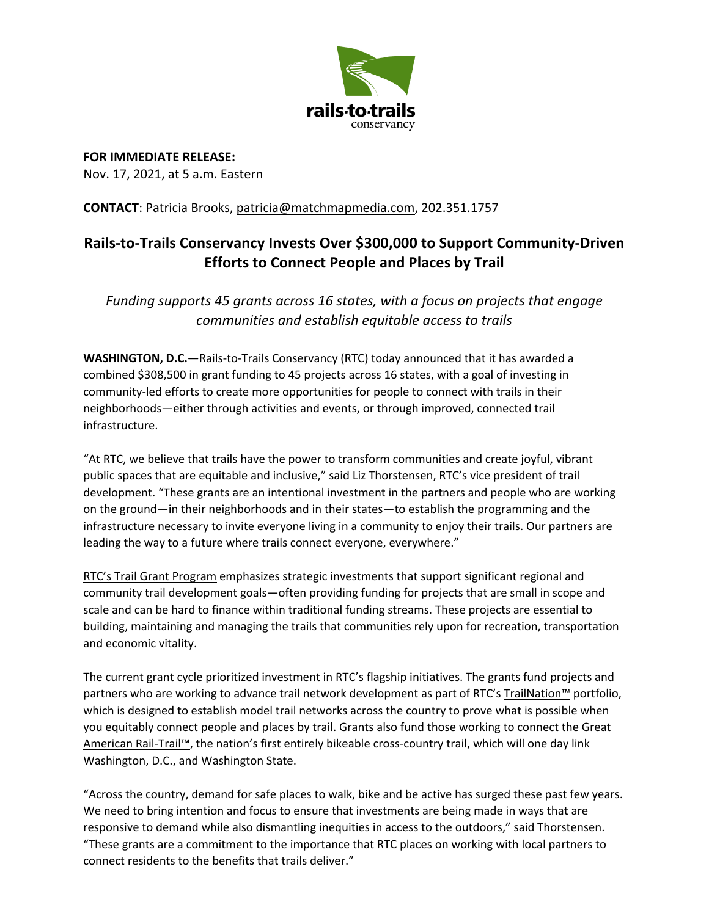

**FOR IMMEDIATE RELEASE:** Nov. 17, 2021, at 5 a.m. Eastern

## **CONTACT**: Patricia Brooks, patricia@matchmapmedia.com, 202.351.1757

## **Rails-to-Trails Conservancy Invests Over \$300,000 to Support Community-Driven Efforts to Connect People and Places by Trail**

*Funding supports 45 grants across 16 states, with a focus on projects that engage communities and establish equitable access to trails* 

**WASHINGTON, D.C.—**Rails-to-Trails Conservancy (RTC) today announced that it has awarded a combined \$308,500 in grant funding to 45 projects across 16 states, with a goal of investing in community-led efforts to create more opportunities for people to connect with trails in their neighborhoods—either through activities and events, or through improved, connected trail infrastructure.

"At RTC, we believe that trails have the power to transform communities and create joyful, vibrant public spaces that are equitable and inclusive," said Liz Thorstensen, RTC's vice president of trail development. "These grants are an intentional investment in the partners and people who are working on the ground—in their neighborhoods and in their states—to establish the programming and the infrastructure necessary to invite everyone living in a community to enjoy their trails. Our partners are leading the way to a future where trails connect everyone, everywhere."

RTC's Trail Grant Program emphasizes strategic investments that support significant regional and community trail development goals—often providing funding for projects that are small in scope and scale and can be hard to finance within traditional funding streams. These projects are essential to building, maintaining and managing the trails that communities rely upon for recreation, transportation and economic vitality.

The current grant cycle prioritized investment in RTC's flagship initiatives. The grants fund projects and partners who are working to advance trail network development as part of RTC's TrailNation<sup>™</sup> portfolio, which is designed to establish model trail networks across the country to prove what is possible when you equitably connect people and places by trail. Grants also fund those working to connect the Great American Rail-Trail™, the nation's first entirely bikeable cross-country trail, which will one day link Washington, D.C., and Washington State.

"Across the country, demand for safe places to walk, bike and be active has surged these past few years. We need to bring intention and focus to ensure that investments are being made in ways that are responsive to demand while also dismantling inequities in access to the outdoors," said Thorstensen. "These grants are a commitment to the importance that RTC places on working with local partners to connect residents to the benefits that trails deliver."